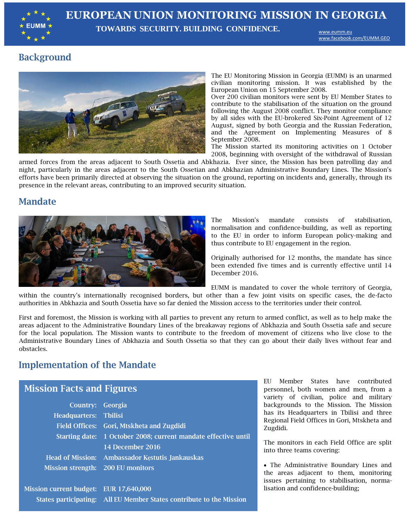

# **EUROPEAN UNION MONITORING MISSION IN GEORGIA**

**TOWARDS SECURITY. BUILDING CONFIDENCE.** www.eumm.eu

## **Background**



The EU Monitoring Mission in Georgia (EUMM) is an unarmed civilian monitoring mission. It was established by the European Union on 15 September 2008.

Over 200 civilian monitors were sent by EU Member States to contribute to the stabilisation of the situation on the ground following the August 2008 conflict. They monitor compliance by all sides with the EU-brokered Six-Point Agreement of 12 August, signed by both Georgia and the Russian Federation, and the Agreement on Implementing Measures of 8 September 2008.

The Mission started its monitoring activities on 1 October 2008, beginning with oversight of the withdrawal of Russian

armed forces from the areas adjacent to South Ossetia and Abkhazia. Ever since, the Mission has been patrolling day and night, particularly in the areas adjacent to the South Ossetian and Abkhazian Administrative Boundary Lines. The Mission's efforts have been primarily directed at observing the situation on the ground, reporting on incidents and, generally, through its presence in the relevant areas, contributing to an improved security situation.

## **Mandate**



The Mission's mandate consists of stabilisation, normalisation and confidence-building, as well as reporting to the EU in order to inform European policy-making and thus contribute to EU engagement in the region.

Originally authorised for 12 months, the mandate has since been extended five times and is currently effective until 14 December 2016.

EUMM is mandated to cover the whole territory of Georgia, within the country's internationally recognised borders, but other than a few joint visits on specific cases, the de-facto authorities in Abkhazia and South Ossetia have so far denied the Mission access to the territories under their control.

First and foremost, the Mission is working with all parties to prevent any return to armed conflict, as well as to help make the areas adjacent to the Administrative Boundary Lines of the breakaway regions of Abkhazia and South Ossetia safe and secure for the local population. The Mission wants to contribute to the freedom of movement of citizens who live close to the Administrative Boundary Lines of Abkhazia and South Ossetia so that they can go about their daily lives without fear and obstacles.

# **Implementation of the Mandate**

### **Mission Facts and Figures**

| Country: Georgia                  |                                                                |
|-----------------------------------|----------------------------------------------------------------|
| <b>Headquarters: Tbilisi</b>      |                                                                |
|                                   | Field Offices: Gori, Mtskheta and Zugdidi                      |
|                                   | Starting date: 1 October 2008; current mandate effective until |
|                                   | 14 December 2016                                               |
|                                   | Head of Mission: Ambassador Kestutis Jankauskas                |
| Mission strength: 200 EU monitors |                                                                |
|                                   |                                                                |

Mission current budget: EUR 17,640,000 States participating: All EU Member States contribute to the Mission EU Member States have contributed personnel, both women and men, from a variety of civilian, police and military backgrounds to the Mission. The Mission has its Headquarters in Tbilisi and three Regional Field Offices in Gori, Mtskheta and Zugdidi.

The monitors in each Field Office are split into three teams covering:

 The Administrative Boundary Lines and the areas adjacent to them, monitoring issues pertaining to stabilisation, normalisation and confidence-building;